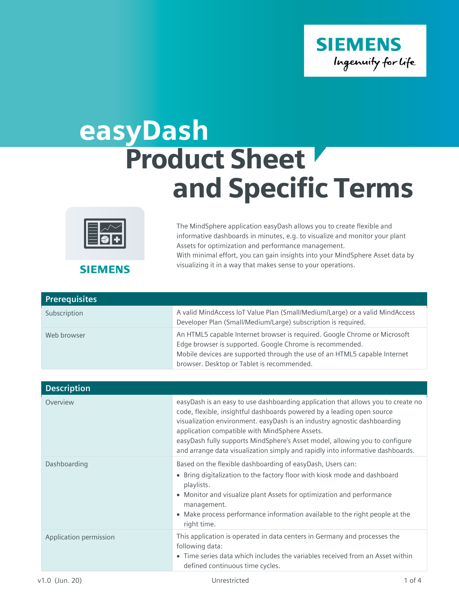

## easyDash Product Sheet and Specific Terms



The MindSphere application easyDash allows you to create flexible and informative dashboards in minutes, e.g. to visualize and monitor your plant Assets for optimization and performance management. With minimal effort, you can gain insights into your MindSphere Asset data by visualizing it in a way that makes sense to your operations.

**SIEMENS** 

| <b>Prerequisites</b> |                                                                                                                                                                                                                                                                  |
|----------------------|------------------------------------------------------------------------------------------------------------------------------------------------------------------------------------------------------------------------------------------------------------------|
| Subscription         | A valid MindAccess loT Value Plan (Small/Medium/Large) or a valid MindAccess<br>Developer Plan (Small/Medium/Large) subscription is required.                                                                                                                    |
| Web browser          | An HTML5 capable Internet browser is required. Google Chrome or Microsoft<br>Edge browser is supported. Google Chrome is recommended.<br>Mobile devices are supported through the use of an HTML5 capable Internet<br>browser. Desktop or Tablet is recommended. |

| <b>Description</b>     |                                                                                                                                                                                                                                                                                                                                                                                                                                                           |
|------------------------|-----------------------------------------------------------------------------------------------------------------------------------------------------------------------------------------------------------------------------------------------------------------------------------------------------------------------------------------------------------------------------------------------------------------------------------------------------------|
| Overview               | easyDash is an easy to use dashboarding application that allows you to create no<br>code, flexible, insightful dashboards powered by a leading open source<br>visualization environment. easyDash is an industry agnostic dashboarding<br>application compatible with MindSphere Assets.<br>easyDash fully supports MindSphere's Asset model, allowing you to configure<br>and arrange data visualization simply and rapidly into informative dashboards. |
| Dashboarding           | Based on the flexible dashboarding of easyDash, Users can:<br>• Bring digitalization to the factory floor with kiosk mode and dashboard<br>playlists.<br>• Monitor and visualize plant Assets for optimization and performance<br>management.<br>• Make process performance information available to the right people at the<br>right time.                                                                                                               |
| Application permission | This application is operated in data centers in Germany and processes the<br>following data:<br>• Time series data which includes the variables received from an Asset within<br>defined continuous time cycles.                                                                                                                                                                                                                                          |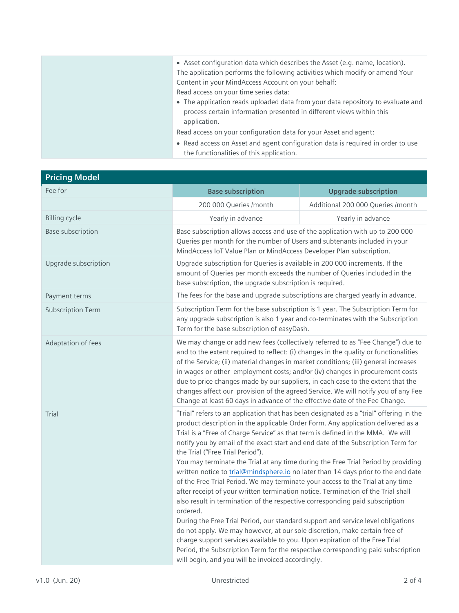| • Asset configuration data which describes the Asset (e.g. name, location).<br>The application performs the following activities which modify or amend Your |
|-------------------------------------------------------------------------------------------------------------------------------------------------------------|
| Content in your MindAccess Account on your behalf:                                                                                                          |
| Read access on your time series data:                                                                                                                       |
| • The application reads uploaded data from your data repository to evaluate and                                                                             |
| process certain information presented in different views within this                                                                                        |
| application.                                                                                                                                                |
| Read access on your configuration data for your Asset and agent:                                                                                            |
| • Read access on Asset and agent configuration data is required in order to use                                                                             |
| the functionalities of this application.                                                                                                                    |

| <b>Pricing Model</b>     |                                                                                                                                                                                                                                                                                                                                                                                                                                                                                                                                                                                                                                                                                                                                                                                                                                                                                                                                                                                                                                                                                                                                    |                                                                                        |
|--------------------------|------------------------------------------------------------------------------------------------------------------------------------------------------------------------------------------------------------------------------------------------------------------------------------------------------------------------------------------------------------------------------------------------------------------------------------------------------------------------------------------------------------------------------------------------------------------------------------------------------------------------------------------------------------------------------------------------------------------------------------------------------------------------------------------------------------------------------------------------------------------------------------------------------------------------------------------------------------------------------------------------------------------------------------------------------------------------------------------------------------------------------------|----------------------------------------------------------------------------------------|
| Fee for                  | <b>Base subscription</b>                                                                                                                                                                                                                                                                                                                                                                                                                                                                                                                                                                                                                                                                                                                                                                                                                                                                                                                                                                                                                                                                                                           | <b>Upgrade subscription</b>                                                            |
|                          | 200 000 Queries /month                                                                                                                                                                                                                                                                                                                                                                                                                                                                                                                                                                                                                                                                                                                                                                                                                                                                                                                                                                                                                                                                                                             | Additional 200 000 Queries /month                                                      |
| <b>Billing cycle</b>     | Yearly in advance                                                                                                                                                                                                                                                                                                                                                                                                                                                                                                                                                                                                                                                                                                                                                                                                                                                                                                                                                                                                                                                                                                                  | Yearly in advance                                                                      |
| <b>Base subscription</b> | Base subscription allows access and use of the application with up to 200 000<br>Queries per month for the number of Users and subtenants included in your<br>MindAccess IoT Value Plan or MindAccess Developer Plan subscription.                                                                                                                                                                                                                                                                                                                                                                                                                                                                                                                                                                                                                                                                                                                                                                                                                                                                                                 |                                                                                        |
| Upgrade subscription     | Upgrade subscription for Queries is available in 200 000 increments. If the<br>amount of Queries per month exceeds the number of Queries included in the<br>base subscription, the upgrade subscription is required.                                                                                                                                                                                                                                                                                                                                                                                                                                                                                                                                                                                                                                                                                                                                                                                                                                                                                                               |                                                                                        |
| Payment terms            | The fees for the base and upgrade subscriptions are charged yearly in advance.                                                                                                                                                                                                                                                                                                                                                                                                                                                                                                                                                                                                                                                                                                                                                                                                                                                                                                                                                                                                                                                     |                                                                                        |
| <b>Subscription Term</b> | Subscription Term for the base subscription is 1 year. The Subscription Term for<br>any upgrade subscription is also 1 year and co-terminates with the Subscription<br>Term for the base subscription of easyDash.                                                                                                                                                                                                                                                                                                                                                                                                                                                                                                                                                                                                                                                                                                                                                                                                                                                                                                                 |                                                                                        |
| Adaptation of fees       | We may change or add new fees (collectively referred to as "Fee Change") due to<br>and to the extent required to reflect: (i) changes in the quality or functionalities<br>of the Service; (ii) material changes in market conditions; (iii) general increases<br>in wages or other employment costs; and/or (iv) changes in procurement costs<br>due to price changes made by our suppliers, in each case to the extent that the<br>Change at least 60 days in advance of the effective date of the Fee Change.                                                                                                                                                                                                                                                                                                                                                                                                                                                                                                                                                                                                                   | changes affect our provision of the agreed Service. We will notify you of any Fee      |
| Trial                    | product description in the applicable Order Form. Any application delivered as a<br>Trial is a "Free of Charge Service" as that term is defined in the MMA. We will<br>notify you by email of the exact start and end date of the Subscription Term for<br>the Trial ("Free Trial Period").<br>You may terminate the Trial at any time during the Free Trial Period by providing<br>written notice to trial@mindsphere.io no later than 14 days prior to the end date<br>of the Free Trial Period. We may terminate your access to the Trial at any time<br>after receipt of your written termination notice. Termination of the Trial shall<br>also result in termination of the respective corresponding paid subscription<br>ordered.<br>During the Free Trial Period, our standard support and service level obligations<br>do not apply. We may however, at our sole discretion, make certain free of<br>charge support services available to you. Upon expiration of the Free Trial<br>Period, the Subscription Term for the respective corresponding paid subscription<br>will begin, and you will be invoiced accordingly. | "Trial" refers to an application that has been designated as a "trial" offering in the |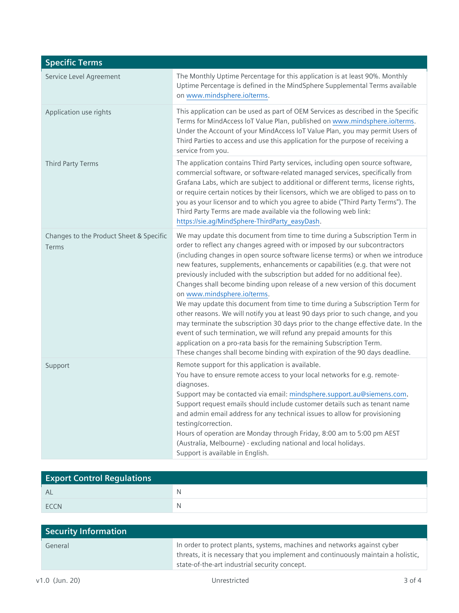| <b>Specific Terms</b>                            |                                                                                                                                                                                                                                                                                                                                                                                                                                                                                                                                                                                                                                                                                                                                                                                                                                                                                                                                                                                                                  |
|--------------------------------------------------|------------------------------------------------------------------------------------------------------------------------------------------------------------------------------------------------------------------------------------------------------------------------------------------------------------------------------------------------------------------------------------------------------------------------------------------------------------------------------------------------------------------------------------------------------------------------------------------------------------------------------------------------------------------------------------------------------------------------------------------------------------------------------------------------------------------------------------------------------------------------------------------------------------------------------------------------------------------------------------------------------------------|
| Service Level Agreement                          | The Monthly Uptime Percentage for this application is at least 90%. Monthly<br>Uptime Percentage is defined in the MindSphere Supplemental Terms available<br>on www.mindsphere.io/terms.                                                                                                                                                                                                                                                                                                                                                                                                                                                                                                                                                                                                                                                                                                                                                                                                                        |
| Application use rights                           | This application can be used as part of OEM Services as described in the Specific<br>Terms for MindAccess loT Value Plan, published on www.mindsphere.io/terms.<br>Under the Account of your MindAccess IoT Value Plan, you may permit Users of<br>Third Parties to access and use this application for the purpose of receiving a<br>service from you.                                                                                                                                                                                                                                                                                                                                                                                                                                                                                                                                                                                                                                                          |
| Third Party Terms                                | The application contains Third Party services, including open source software,<br>commercial software, or software-related managed services, specifically from<br>Grafana Labs, which are subject to additional or different terms, license rights,<br>or require certain notices by their licensors, which we are obliged to pass on to<br>you as your licensor and to which you agree to abide ("Third Party Terms"). The<br>Third Party Terms are made available via the following web link:<br>https://sie.ag/MindSphere-ThirdParty_easyDash.                                                                                                                                                                                                                                                                                                                                                                                                                                                                |
| Changes to the Product Sheet & Specific<br>Terms | We may update this document from time to time during a Subscription Term in<br>order to reflect any changes agreed with or imposed by our subcontractors<br>(including changes in open source software license terms) or when we introduce<br>new features, supplements, enhancements or capabilities (e.g. that were not<br>previously included with the subscription but added for no additional fee).<br>Changes shall become binding upon release of a new version of this document<br>on www.mindsphere.io/terms.<br>We may update this document from time to time during a Subscription Term for<br>other reasons. We will notify you at least 90 days prior to such change, and you<br>may terminate the subscription 30 days prior to the change effective date. In the<br>event of such termination, we will refund any prepaid amounts for this<br>application on a pro-rata basis for the remaining Subscription Term.<br>These changes shall become binding with expiration of the 90 days deadline. |
| Support                                          | Remote support for this application is available.<br>You have to ensure remote access to your local networks for e.g. remote-<br>diagnoses.<br>Support may be contacted via email: mindsphere.support.au@siemens.com.<br>Support request emails should include customer details such as tenant name<br>and admin email address for any technical issues to allow for provisioning<br>testing/correction.<br>Hours of operation are Monday through Friday, 8:00 am to 5:00 pm AEST<br>(Australia, Melbourne) - excluding national and local holidays.<br>Support is available in English.                                                                                                                                                                                                                                                                                                                                                                                                                         |

| <b>Export Control Regulations</b> |   |
|-----------------------------------|---|
| AL                                | N |
| <b>FCCN</b>                       | N |

| Security Information |                                                                                                                                                                                                                |
|----------------------|----------------------------------------------------------------------------------------------------------------------------------------------------------------------------------------------------------------|
| General              | In order to protect plants, systems, machines and networks against cyber<br>threats, it is necessary that you implement and continuously maintain a holistic,<br>state-of-the-art industrial security concept. |